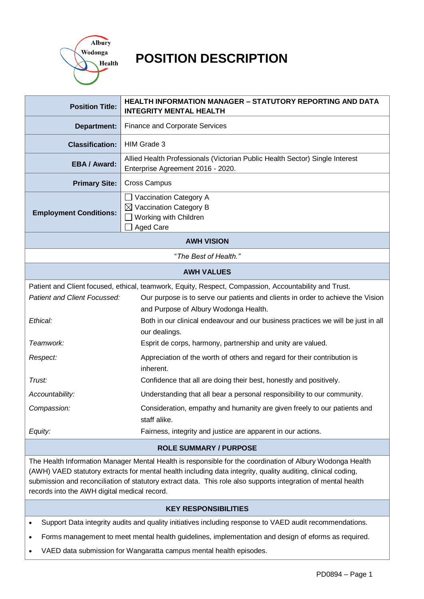

# **POSITION DESCRIPTION**

| <b>Position Title:</b>                                                                                                                                                                                                                                                                                                                                                                     | <b>HEALTH INFORMATION MANAGER - STATUTORY REPORTING AND DATA</b><br><b>INTEGRITY MENTAL HEALTH</b>                |  |  |  |  |
|--------------------------------------------------------------------------------------------------------------------------------------------------------------------------------------------------------------------------------------------------------------------------------------------------------------------------------------------------------------------------------------------|-------------------------------------------------------------------------------------------------------------------|--|--|--|--|
| <b>Department:</b>                                                                                                                                                                                                                                                                                                                                                                         | <b>Finance and Corporate Services</b>                                                                             |  |  |  |  |
| <b>Classification:</b>                                                                                                                                                                                                                                                                                                                                                                     | HIM Grade 3                                                                                                       |  |  |  |  |
| <b>EBA/Award:</b>                                                                                                                                                                                                                                                                                                                                                                          | Allied Health Professionals (Victorian Public Health Sector) Single Interest<br>Enterprise Agreement 2016 - 2020. |  |  |  |  |
| <b>Primary Site:</b>                                                                                                                                                                                                                                                                                                                                                                       | <b>Cross Campus</b>                                                                                               |  |  |  |  |
| <b>Employment Conditions:</b>                                                                                                                                                                                                                                                                                                                                                              | Vaccination Category A<br>$\boxtimes$ Vaccination Category B<br>Working with Children<br><b>Aged Care</b>         |  |  |  |  |
|                                                                                                                                                                                                                                                                                                                                                                                            | <b>AWH VISION</b>                                                                                                 |  |  |  |  |
|                                                                                                                                                                                                                                                                                                                                                                                            | "The Best of Health."                                                                                             |  |  |  |  |
|                                                                                                                                                                                                                                                                                                                                                                                            | <b>AWH VALUES</b>                                                                                                 |  |  |  |  |
|                                                                                                                                                                                                                                                                                                                                                                                            | Patient and Client focused, ethical, teamwork, Equity, Respect, Compassion, Accountability and Trust.             |  |  |  |  |
| Patient and Client Focussed:<br>Our purpose is to serve our patients and clients in order to achieve the Vision                                                                                                                                                                                                                                                                            |                                                                                                                   |  |  |  |  |
|                                                                                                                                                                                                                                                                                                                                                                                            | and Purpose of Albury Wodonga Health.                                                                             |  |  |  |  |
| Ethical:                                                                                                                                                                                                                                                                                                                                                                                   | Both in our clinical endeavour and our business practices we will be just in all<br>our dealings.                 |  |  |  |  |
| Teamwork:                                                                                                                                                                                                                                                                                                                                                                                  | Esprit de corps, harmony, partnership and unity are valued.                                                       |  |  |  |  |
| Respect:                                                                                                                                                                                                                                                                                                                                                                                   | Appreciation of the worth of others and regard for their contribution is                                          |  |  |  |  |
|                                                                                                                                                                                                                                                                                                                                                                                            | inherent.                                                                                                         |  |  |  |  |
| Trust:                                                                                                                                                                                                                                                                                                                                                                                     | Confidence that all are doing their best, honestly and positively.                                                |  |  |  |  |
| Accountability:                                                                                                                                                                                                                                                                                                                                                                            | Understanding that all bear a personal responsibility to our community.                                           |  |  |  |  |
| Compassion:                                                                                                                                                                                                                                                                                                                                                                                | Consideration, empathy and humanity are given freely to our patients and<br>staff alike.                          |  |  |  |  |
| Equity:                                                                                                                                                                                                                                                                                                                                                                                    | Fairness, integrity and justice are apparent in our actions.                                                      |  |  |  |  |
| <b>ROLE SUMMARY / PURPOSE</b>                                                                                                                                                                                                                                                                                                                                                              |                                                                                                                   |  |  |  |  |
| The Health Information Manager Mental Health is responsible for the coordination of Albury Wodonga Health<br>(AWH) VAED statutory extracts for mental health including data integrity, quality auditing, clinical coding,<br>submission and reconciliation of statutory extract data. This role also supports integration of mental health<br>records into the AWH digital medical record. |                                                                                                                   |  |  |  |  |
| <b>KEY RESPONSIBILITIES</b>                                                                                                                                                                                                                                                                                                                                                                |                                                                                                                   |  |  |  |  |

- Support Data integrity audits and quality initiatives including response to VAED audit recommendations.
- Forms management to meet mental health guidelines, implementation and design of eforms as required.
- VAED data submission for Wangaratta campus mental health episodes.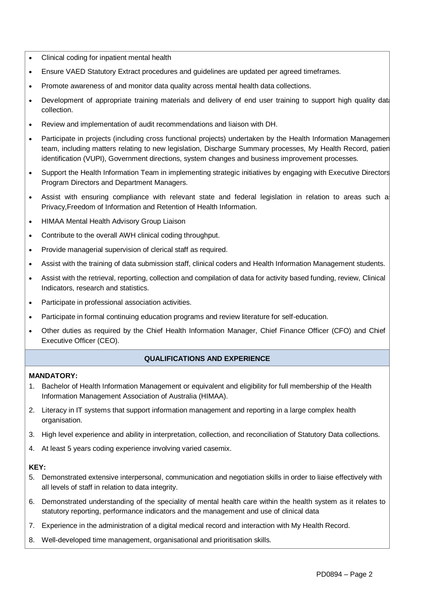- Clinical coding for inpatient mental health
- Ensure VAED Statutory Extract procedures and guidelines are updated per agreed timeframes.
- Promote awareness of and monitor data quality across mental health data collections.
- Development of appropriate training materials and delivery of end user training to support high quality dat collection.
- Review and implementation of audit recommendations and liaison with DH.
- Participate in projects (including cross functional projects) undertaken by the Health Information Management team, including matters relating to new legislation, Discharge Summary processes, My Health Record, patient identification (VUPI), Government directions, system changes and business improvement processes.
- Support the Health Information Team in implementing strategic initiatives by engaging with Executive Directors, Program Directors and Department Managers.
- Assist with ensuring compliance with relevant state and federal legislation in relation to areas such a Privacy,Freedom of Information and Retention of Health Information.
- HIMAA Mental Health Advisory Group Liaison
- Contribute to the overall AWH clinical coding throughput.
- Provide managerial supervision of clerical staff as required.
- Assist with the training of data submission staff, clinical coders and Health Information Management students.
- Assist with the retrieval, reporting, collection and compilation of data for activity based funding, review, Clinical Indicators, research and statistics.
- Participate in professional association activities.
- Participate in formal continuing education programs and review literature for self-education.
- Other duties as required by the Chief Health Information Manager, Chief Finance Officer (CFO) and Chief Executive Officer (CEO).

# **QUALIFICATIONS AND EXPERIENCE**

# **MANDATORY:**

- 1. Bachelor of Health Information Management or equivalent and eligibility for full membership of the Health Information Management Association of Australia (HIMAA).
- 2. Literacy in IT systems that support information management and reporting in a large complex health organisation.
- 3. High level experience and ability in interpretation, collection, and reconciliation of Statutory Data collections.
- 4. At least 5 years coding experience involving varied casemix.

# **KEY:**

- 5. Demonstrated extensive interpersonal, communication and negotiation skills in order to liaise effectively with all levels of staff in relation to data integrity.
- 6. Demonstrated understanding of the speciality of mental health care within the health system as it relates to statutory reporting, performance indicators and the management and use of clinical data
- 7. Experience in the administration of a digital medical record and interaction with My Health Record.
- 8. Well-developed time management, organisational and prioritisation skills.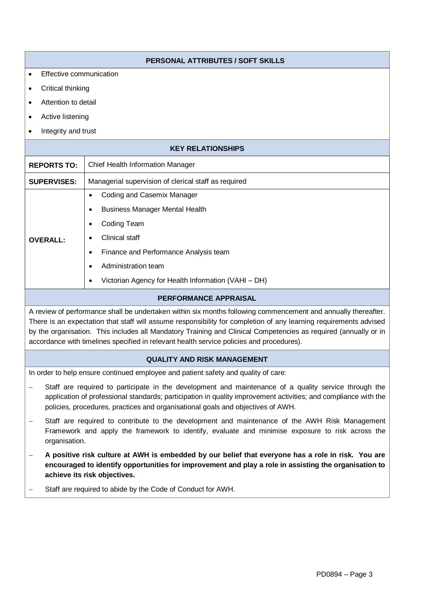|                                                                                                                                                                                                                                                                                                             | PERSONAL ATTRIBUTES / SOFT SKILLS                                                                                                                                                                                                                                                                                                                                                                                                                 |  |  |  |  |  |
|-------------------------------------------------------------------------------------------------------------------------------------------------------------------------------------------------------------------------------------------------------------------------------------------------------------|---------------------------------------------------------------------------------------------------------------------------------------------------------------------------------------------------------------------------------------------------------------------------------------------------------------------------------------------------------------------------------------------------------------------------------------------------|--|--|--|--|--|
| Effective communication<br>$\bullet$                                                                                                                                                                                                                                                                        |                                                                                                                                                                                                                                                                                                                                                                                                                                                   |  |  |  |  |  |
| Critical thinking<br>٠                                                                                                                                                                                                                                                                                      |                                                                                                                                                                                                                                                                                                                                                                                                                                                   |  |  |  |  |  |
| Attention to detail<br>$\bullet$                                                                                                                                                                                                                                                                            |                                                                                                                                                                                                                                                                                                                                                                                                                                                   |  |  |  |  |  |
| Active listening<br>٠                                                                                                                                                                                                                                                                                       |                                                                                                                                                                                                                                                                                                                                                                                                                                                   |  |  |  |  |  |
| Integrity and trust<br>$\bullet$                                                                                                                                                                                                                                                                            |                                                                                                                                                                                                                                                                                                                                                                                                                                                   |  |  |  |  |  |
| <b>KEY RELATIONSHIPS</b>                                                                                                                                                                                                                                                                                    |                                                                                                                                                                                                                                                                                                                                                                                                                                                   |  |  |  |  |  |
| <b>REPORTS TO:</b>                                                                                                                                                                                                                                                                                          | Chief Health Information Manager                                                                                                                                                                                                                                                                                                                                                                                                                  |  |  |  |  |  |
| <b>SUPERVISES:</b>                                                                                                                                                                                                                                                                                          | Managerial supervision of clerical staff as required                                                                                                                                                                                                                                                                                                                                                                                              |  |  |  |  |  |
|                                                                                                                                                                                                                                                                                                             | Coding and Casemix Manager<br>$\bullet$                                                                                                                                                                                                                                                                                                                                                                                                           |  |  |  |  |  |
|                                                                                                                                                                                                                                                                                                             | <b>Business Manager Mental Health</b><br>$\bullet$                                                                                                                                                                                                                                                                                                                                                                                                |  |  |  |  |  |
|                                                                                                                                                                                                                                                                                                             | <b>Coding Team</b>                                                                                                                                                                                                                                                                                                                                                                                                                                |  |  |  |  |  |
| <b>OVERALL:</b>                                                                                                                                                                                                                                                                                             | <b>Clinical staff</b>                                                                                                                                                                                                                                                                                                                                                                                                                             |  |  |  |  |  |
|                                                                                                                                                                                                                                                                                                             | Finance and Performance Analysis team<br>$\bullet$                                                                                                                                                                                                                                                                                                                                                                                                |  |  |  |  |  |
|                                                                                                                                                                                                                                                                                                             | Administration team<br>$\bullet$                                                                                                                                                                                                                                                                                                                                                                                                                  |  |  |  |  |  |
|                                                                                                                                                                                                                                                                                                             | Victorian Agency for Health Information (VAHI - DH)<br>$\bullet$                                                                                                                                                                                                                                                                                                                                                                                  |  |  |  |  |  |
| <b>PERFORMANCE APPRAISAL</b>                                                                                                                                                                                                                                                                                |                                                                                                                                                                                                                                                                                                                                                                                                                                                   |  |  |  |  |  |
|                                                                                                                                                                                                                                                                                                             | A review of performance shall be undertaken within six months following commencement and annually thereafter.<br>There is an expectation that staff will assume responsibility for completion of any learning requirements advised<br>by the organisation. This includes all Mandatory Training and Clinical Competencies as required (annually or in<br>accordance with timelines specified in relevant health service policies and procedures). |  |  |  |  |  |
| <b>QUALITY AND RISK MANAGEMENT</b>                                                                                                                                                                                                                                                                          |                                                                                                                                                                                                                                                                                                                                                                                                                                                   |  |  |  |  |  |
|                                                                                                                                                                                                                                                                                                             | In order to help ensure continued employee and patient safety and quality of care:                                                                                                                                                                                                                                                                                                                                                                |  |  |  |  |  |
| Staff are required to participate in the development and maintenance of a quality service through the<br>application of professional standards; participation in quality improvement activities; and compliance with the<br>policies, procedures, practices and organisational goals and objectives of AWH. |                                                                                                                                                                                                                                                                                                                                                                                                                                                   |  |  |  |  |  |
| Staff are required to contribute to the development and maintenance of the AWH Risk Management<br>Framework and apply the framework to identify, evaluate and minimise exposure to risk across the<br>organisation.                                                                                         |                                                                                                                                                                                                                                                                                                                                                                                                                                                   |  |  |  |  |  |
|                                                                                                                                                                                                                                                                                                             | A positive risk culture at AWH is embedded by our belief that everyone has a role in risk. You are                                                                                                                                                                                                                                                                                                                                                |  |  |  |  |  |

- **encouraged to identify opportunities for improvement and play a role in assisting the organisation to achieve its risk objectives.**
- Staff are required to abide by the Code of Conduct for AWH.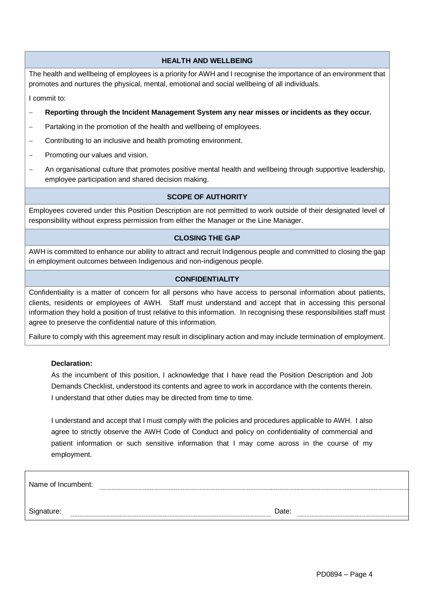# **HEALTH AND WELLBEING**

The health and wellbeing of employees is a priority for AWH and I recognise the importance of an environment that promotes and nurtures the physical, mental, emotional and social wellbeing of all individuals.

I commit to:

- **Reporting through the Incident Management System any near misses or incidents as they occur.**
- Partaking in the promotion of the health and wellbeing of employees.
- Contributing to an inclusive and health promoting environment.
- Promoting our values and vision.
- An organisational culture that promotes positive mental health and wellbeing through supportive leadership, employee participation and shared decision making.

# **SCOPE OF AUTHORITY**

Employees covered under this Position Description are not permitted to work outside of their designated level of responsibility without express permission from either the Manager or the Line Manager.

# **CLOSING THE GAP**

AWH is committed to enhance our ability to attract and recruit Indigenous people and committed to closing the gap in employment outcomes between Indigenous and non-indigenous people.

# **CONFIDENTIALITY**

Confidentiality is a matter of concern for all persons who have access to personal information about patients, clients, residents or employees of AWH. Staff must understand and accept that in accessing this personal information they hold a position of trust relative to this information. In recognising these responsibilities staff must agree to preserve the confidential nature of this information.

Failure to comply with this agreement may result in disciplinary action and may include termination of employment.

# **Declaration:**

As the incumbent of this position, I acknowledge that I have read the Position Description and Job Demands Checklist, understood its contents and agree to work in accordance with the contents therein. I understand that other duties may be directed from time to time.

I understand and accept that I must comply with the policies and procedures applicable to AWH. I also agree to strictly observe the AWH Code of Conduct and policy on confidentiality of commercial and patient information or such sensitive information that I may come across in the course of my employment.

| Name of Incumbent: |       |
|--------------------|-------|
|                    |       |
| Signature:         | Date: |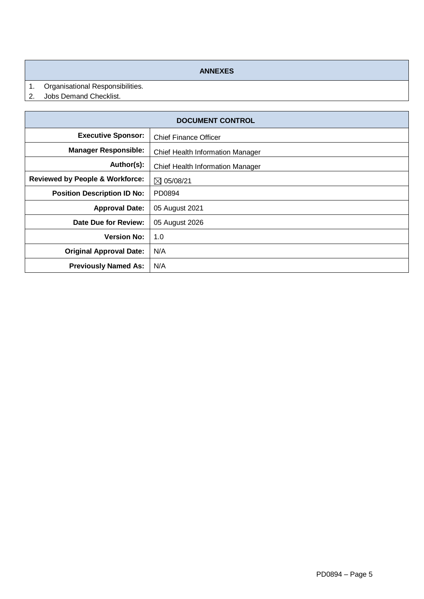## **ANNEXES**

- 1. Organisational Responsibilities.<br>2. Jobs Demand Checklist.
- Jobs Demand Checklist.

| <b>DOCUMENT CONTROL</b>                    |                                         |  |  |  |
|--------------------------------------------|-----------------------------------------|--|--|--|
| <b>Executive Sponsor:</b>                  | <b>Chief Finance Officer</b>            |  |  |  |
| <b>Manager Responsible:</b>                | <b>Chief Health Information Manager</b> |  |  |  |
| Author(s):                                 | Chief Health Information Manager        |  |  |  |
| <b>Reviewed by People &amp; Workforce:</b> | $\boxtimes$ 05/08/21                    |  |  |  |
| <b>Position Description ID No:</b>         | PD0894                                  |  |  |  |
| <b>Approval Date:</b>                      | 05 August 2021                          |  |  |  |
| Date Due for Review:                       | 05 August 2026                          |  |  |  |
| <b>Version No:</b>                         | 1.0                                     |  |  |  |
| <b>Original Approval Date:</b>             | N/A                                     |  |  |  |
| <b>Previously Named As:</b>                | N/A                                     |  |  |  |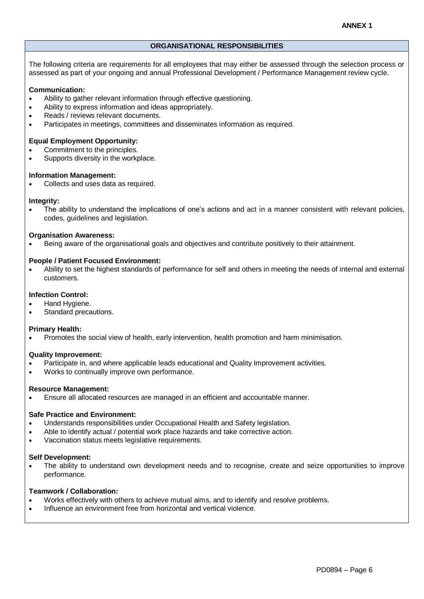## **ORGANISATIONAL RESPONSIBILITIES**

The following criteria are requirements for all employees that may either be assessed through the selection process or assessed as part of your ongoing and annual Professional Development / Performance Management review cycle.

## **Communication:**

- Ability to gather relevant information through effective questioning.
- Ability to express information and ideas appropriately.
- Reads / reviews relevant documents.
- Participates in meetings, committees and disseminates information as required.

## **Equal Employment Opportunity:**

- Commitment to the principles.
- Supports diversity in the workplace.

## **Information Management:**

Collects and uses data as required.

## **Integrity:**

 The ability to understand the implications of one's actions and act in a manner consistent with relevant policies, codes, guidelines and legislation.

## **Organisation Awareness:**

Being aware of the organisational goals and objectives and contribute positively to their attainment.

## **People / Patient Focused Environment:**

 Ability to set the highest standards of performance for self and others in meeting the needs of internal and external customers.

## **Infection Control:**

- Hand Hygiene.
- Standard precautions.

## **Primary Health:**

Promotes the social view of health, early intervention, health promotion and harm minimisation.

## **Quality Improvement:**

- Participate in, and where applicable leads educational and Quality Improvement activities.
- Works to continually improve own performance.

## **Resource Management:**

Ensure all allocated resources are managed in an efficient and accountable manner.

## **Safe Practice and Environment:**

- Understands responsibilities under Occupational Health and Safety legislation.
- Able to identify actual / potential work place hazards and take corrective action.
- Vaccination status meets legislative requirements.

## **Self Development:**

 The ability to understand own development needs and to recognise, create and seize opportunities to improve performance.

## **Teamwork / Collaboration:**

- Works effectively with others to achieve mutual aims, and to identify and resolve problems.
- Influence an environment free from horizontal and vertical violence.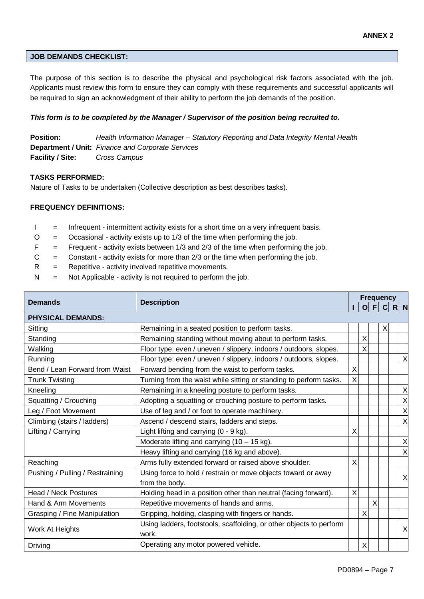# **JOB DEMANDS CHECKLIST:**

The purpose of this section is to describe the physical and psychological risk factors associated with the job. Applicants must review this form to ensure they can comply with these requirements and successful applicants will be required to sign an acknowledgment of their ability to perform the job demands of the position.

# *This form is to be completed by the Manager / Supervisor of the position being recruited to.*

**Position:** *Health Information Manager – Statutory Reporting and Data Integrity Mental Health* **Department / Unit:** *Finance and Corporate Services* **Facility / Site:** *Cross Campus*

# **TASKS PERFORMED:**

Nature of Tasks to be undertaken (Collective description as best describes tasks).

# **FREQUENCY DEFINITIONS:**

- I = Infrequent intermittent activity exists for a short time on a very infrequent basis.
- $O =$  Occasional activity exists up to 1/3 of the time when performing the job.
- $F =$  Frequent activity exists between 1/3 and 2/3 of the time when performing the job.
- $C =$  Constant activity exists for more than 2/3 or the time when performing the job.
- $R =$  Repetitive activity involved repetitive movements.
- $N =$  Not Applicable activity is not required to perform the job.

|                                 | <b>Description</b>                                                  | <b>Frequency</b> |   |   |   |       |   |
|---------------------------------|---------------------------------------------------------------------|------------------|---|---|---|-------|---|
| <b>Demands</b>                  |                                                                     |                  | O |   |   | $R$ N |   |
| <b>PHYSICAL DEMANDS:</b>        |                                                                     |                  |   |   |   |       |   |
| Sitting                         | Remaining in a seated position to perform tasks.                    |                  |   |   | X |       |   |
| Standing                        | Remaining standing without moving about to perform tasks.           |                  | Χ |   |   |       |   |
| Walking                         | Floor type: even / uneven / slippery, indoors / outdoors, slopes.   |                  | X |   |   |       |   |
| Running                         | Floor type: even / uneven / slippery, indoors / outdoors, slopes.   |                  |   |   |   |       | X |
| Bend / Lean Forward from Waist  | Forward bending from the waist to perform tasks.                    | X                |   |   |   |       |   |
| <b>Trunk Twisting</b>           | Turning from the waist while sitting or standing to perform tasks.  | X                |   |   |   |       |   |
| Kneeling                        | Remaining in a kneeling posture to perform tasks.                   |                  |   |   |   |       | X |
| Squatting / Crouching           | Adopting a squatting or crouching posture to perform tasks.         |                  |   |   |   |       | Χ |
| Leg / Foot Movement             | Use of leg and / or foot to operate machinery.                      |                  |   |   |   |       | X |
| Climbing (stairs / ladders)     | Ascend / descend stairs, ladders and steps.                         |                  |   |   |   |       | X |
| Lifting / Carrying              | Light lifting and carrying (0 - 9 kg).                              | X                |   |   |   |       |   |
|                                 | Moderate lifting and carrying (10 - 15 kg).                         |                  |   |   |   |       | X |
|                                 | Heavy lifting and carrying (16 kg and above).                       |                  |   |   |   |       | X |
| Reaching                        | Arms fully extended forward or raised above shoulder.               | X                |   |   |   |       |   |
| Pushing / Pulling / Restraining | Using force to hold / restrain or move objects toward or away       |                  |   |   |   |       | X |
|                                 | from the body.                                                      |                  |   |   |   |       |   |
| <b>Head / Neck Postures</b>     | Holding head in a position other than neutral (facing forward).     | X                |   |   |   |       |   |
| Hand & Arm Movements            | Repetitive movements of hands and arms.                             |                  |   | X |   |       |   |
| Grasping / Fine Manipulation    | Gripping, holding, clasping with fingers or hands.                  |                  | X |   |   |       |   |
| Work At Heights                 | Using ladders, footstools, scaffolding, or other objects to perform |                  |   |   |   |       | X |
|                                 | work.                                                               |                  |   |   |   |       |   |
| Driving                         | Operating any motor powered vehicle.                                |                  | Χ |   |   |       |   |